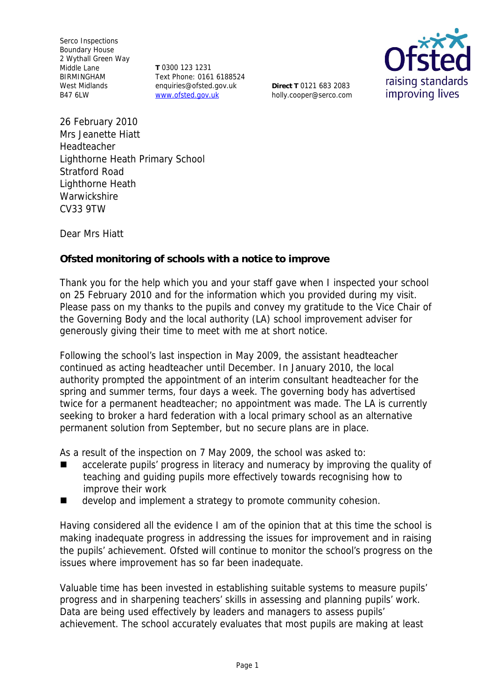Serco Inspections Boundary House 2 Wythall Green Way Middle Lane BIRMINGHAM West Midlands B47 6LW

**T** 0300 123 1231 Text Phone: 0161 6188524 enquiries@ofsted.gov.uk www.ofsted.gov.uk

**Direct T** 0121 683 2083 holly.cooper@serco.com



26 February 2010 Mrs Jeanette Hiatt Headteacher Lighthorne Heath Primary School Stratford Road Lighthorne Heath **Warwickshire** CV33 9TW

Dear Mrs Hiatt

**Ofsted monitoring of schools with a notice to improve**

Thank you for the help which you and your staff gave when I inspected your school on 25 February 2010 and for the information which you provided during my visit*.* Please pass on my thanks to the pupils and convey my gratitude to the Vice Chair of the Governing Body and the local authority (LA) school improvement adviser for generously giving their time to meet with me at short notice.

Following the school's last inspection in May 2009, the assistant headteacher continued as acting headteacher until December. In January 2010, the local authority prompted the appointment of an interim consultant headteacher for the spring and summer terms, four days a week. The governing body has advertised twice for a permanent headteacher; no appointment was made. The LA is currently seeking to broker a hard federation with a local primary school as an alternative permanent solution from September, but no secure plans are in place.

As a result of the inspection on 7 May 2009, the school was asked to:

- accelerate pupils' progress in literacy and numeracy by improving the quality of teaching and guiding pupils more effectively towards recognising how to improve their work
- develop and implement a strategy to promote community cohesion.

Having considered all the evidence I am of the opinion that at this time the school is making inadequate progress in addressing the issues for improvement and in raising the pupils' achievement. Ofsted will continue to monitor the school's progress on the issues where improvement has so far been inadequate.

Valuable time has been invested in establishing suitable systems to measure pupils' progress and in sharpening teachers' skills in assessing and planning pupils' work. Data are being used effectively by leaders and managers to assess pupils' achievement. The school accurately evaluates that most pupils are making at least